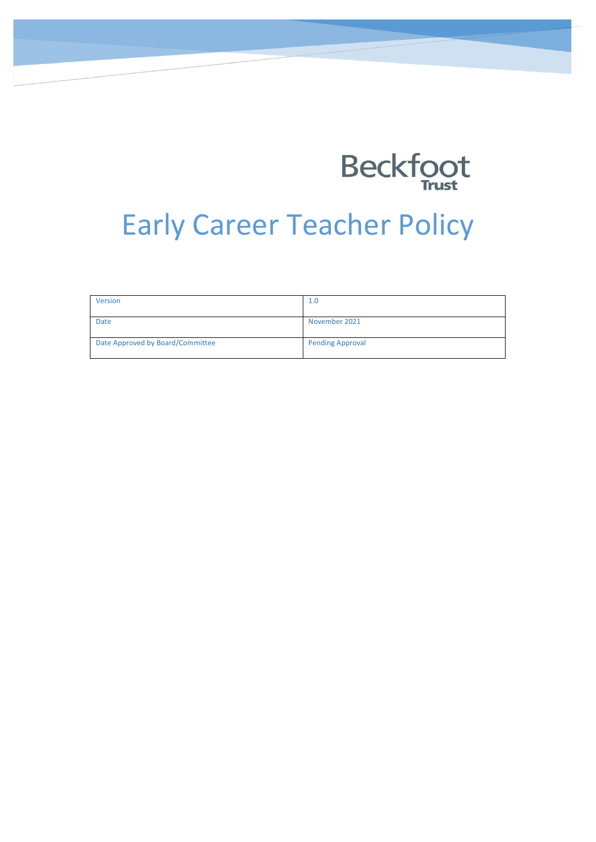

# Early Career Teacher Policy

| Version                          | 1.0                     |
|----------------------------------|-------------------------|
| <b>Date</b>                      | November 2021           |
| Date Approved by Board/Committee | <b>Pending Approval</b> |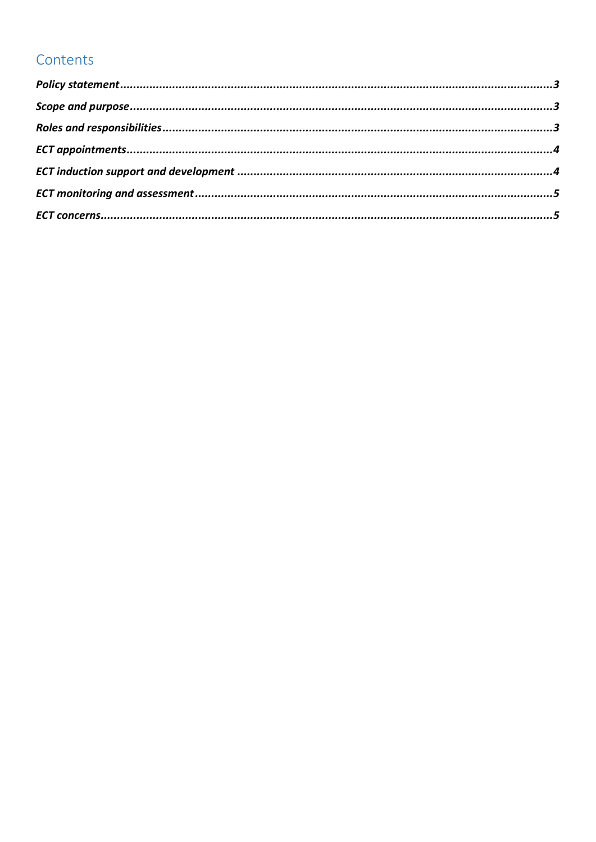# Contents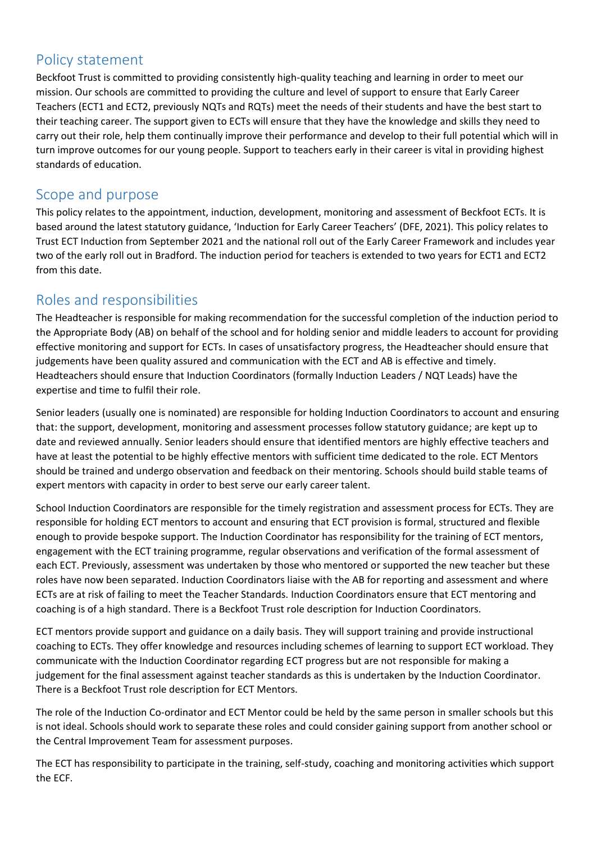#### <span id="page-2-0"></span>Policy statement

Beckfoot Trust is committed to providing consistently high-quality teaching and learning in order to meet our mission. Our schools are committed to providing the culture and level of support to ensure that Early Career Teachers (ECT1 and ECT2, previously NQTs and RQTs) meet the needs of their students and have the best start to their teaching career. The support given to ECTs will ensure that they have the knowledge and skills they need to carry out their role, help them continually improve their performance and develop to their full potential which will in turn improve outcomes for our young people. Support to teachers early in their career is vital in providing highest standards of education.

#### <span id="page-2-1"></span>Scope and purpose

This policy relates to the appointment, induction, development, monitoring and assessment of Beckfoot ECTs. It is based around the latest statutory guidance, 'Induction for Early Career Teachers' (DFE, 2021). This policy relates to Trust ECT Induction from September 2021 and the national roll out of the Early Career Framework and includes year two of the early roll out in Bradford. The induction period for teachers is extended to two years for ECT1 and ECT2 from this date.

#### <span id="page-2-2"></span>Roles and responsibilities

The Headteacher is responsible for making recommendation for the successful completion of the induction period to the Appropriate Body (AB) on behalf of the school and for holding senior and middle leaders to account for providing effective monitoring and support for ECTs. In cases of unsatisfactory progress, the Headteacher should ensure that judgements have been quality assured and communication with the ECT and AB is effective and timely. Headteachers should ensure that Induction Coordinators (formally Induction Leaders / NQT Leads) have the expertise and time to fulfil their role.

Senior leaders (usually one is nominated) are responsible for holding Induction Coordinators to account and ensuring that: the support, development, monitoring and assessment processes follow statutory guidance; are kept up to date and reviewed annually. Senior leaders should ensure that identified mentors are highly effective teachers and have at least the potential to be highly effective mentors with sufficient time dedicated to the role. ECT Mentors should be trained and undergo observation and feedback on their mentoring. Schools should build stable teams of expert mentors with capacity in order to best serve our early career talent.

School Induction Coordinators are responsible for the timely registration and assessment process for ECTs. They are responsible for holding ECT mentors to account and ensuring that ECT provision is formal, structured and flexible enough to provide bespoke support. The Induction Coordinator has responsibility for the training of ECT mentors, engagement with the ECT training programme, regular observations and verification of the formal assessment of each ECT. Previously, assessment was undertaken by those who mentored or supported the new teacher but these roles have now been separated. Induction Coordinators liaise with the AB for reporting and assessment and where ECTs are at risk of failing to meet the Teacher Standards. Induction Coordinators ensure that ECT mentoring and coaching is of a high standard. There is a Beckfoot Trust role description for Induction Coordinators.

ECT mentors provide support and guidance on a daily basis. They will support training and provide instructional coaching to ECTs. They offer knowledge and resources including schemes of learning to support ECT workload. They communicate with the Induction Coordinator regarding ECT progress but are not responsible for making a judgement for the final assessment against teacher standards as this is undertaken by the Induction Coordinator. There is a Beckfoot Trust role description for ECT Mentors.

The role of the Induction Co-ordinator and ECT Mentor could be held by the same person in smaller schools but this is not ideal. Schools should work to separate these roles and could consider gaining support from another school or the Central Improvement Team for assessment purposes.

The ECT has responsibility to participate in the training, self-study, coaching and monitoring activities which support the ECF.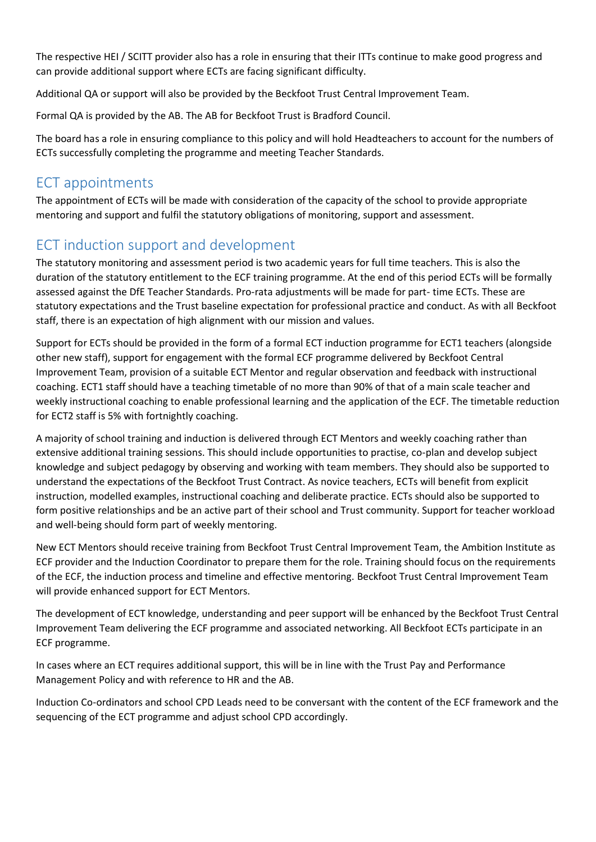The respective HEI / SCITT provider also has a role in ensuring that their ITTs continue to make good progress and can provide additional support where ECTs are facing significant difficulty.

Additional QA or support will also be provided by the Beckfoot Trust Central Improvement Team.

Formal QA is provided by the AB. The AB for Beckfoot Trust is Bradford Council.

The board has a role in ensuring compliance to this policy and will hold Headteachers to account for the numbers of ECTs successfully completing the programme and meeting Teacher Standards.

# <span id="page-3-0"></span>ECT appointments

The appointment of ECTs will be made with consideration of the capacity of the school to provide appropriate mentoring and support and fulfil the statutory obligations of monitoring, support and assessment.

## <span id="page-3-1"></span>ECT induction support and development

The statutory monitoring and assessment period is two academic years for full time teachers. This is also the duration of the statutory entitlement to the ECF training programme. At the end of this period ECTs will be formally assessed against the DfE Teacher Standards. Pro-rata adjustments will be made for part- time ECTs. These are statutory expectations and the Trust baseline expectation for professional practice and conduct. As with all Beckfoot staff, there is an expectation of high alignment with our mission and values.

Support for ECTs should be provided in the form of a formal ECT induction programme for ECT1 teachers (alongside other new staff), support for engagement with the formal ECF programme delivered by Beckfoot Central Improvement Team, provision of a suitable ECT Mentor and regular observation and feedback with instructional coaching. ECT1 staff should have a teaching timetable of no more than 90% of that of a main scale teacher and weekly instructional coaching to enable professional learning and the application of the ECF. The timetable reduction for ECT2 staff is 5% with fortnightly coaching.

A majority of school training and induction is delivered through ECT Mentors and weekly coaching rather than extensive additional training sessions. This should include opportunities to practise, co-plan and develop subject knowledge and subject pedagogy by observing and working with team members. They should also be supported to understand the expectations of the Beckfoot Trust Contract. As novice teachers, ECTs will benefit from explicit instruction, modelled examples, instructional coaching and deliberate practice. ECTs should also be supported to form positive relationships and be an active part of their school and Trust community. Support for teacher workload and well-being should form part of weekly mentoring.

New ECT Mentors should receive training from Beckfoot Trust Central Improvement Team, the Ambition Institute as ECF provider and the Induction Coordinator to prepare them for the role. Training should focus on the requirements of the ECF, the induction process and timeline and effective mentoring. Beckfoot Trust Central Improvement Team will provide enhanced support for ECT Mentors.

The development of ECT knowledge, understanding and peer support will be enhanced by the Beckfoot Trust Central Improvement Team delivering the ECF programme and associated networking. All Beckfoot ECTs participate in an ECF programme.

In cases where an ECT requires additional support, this will be in line with the Trust Pay and Performance Management Policy and with reference to HR and the AB.

Induction Co-ordinators and school CPD Leads need to be conversant with the content of the ECF framework and the sequencing of the ECT programme and adjust school CPD accordingly.